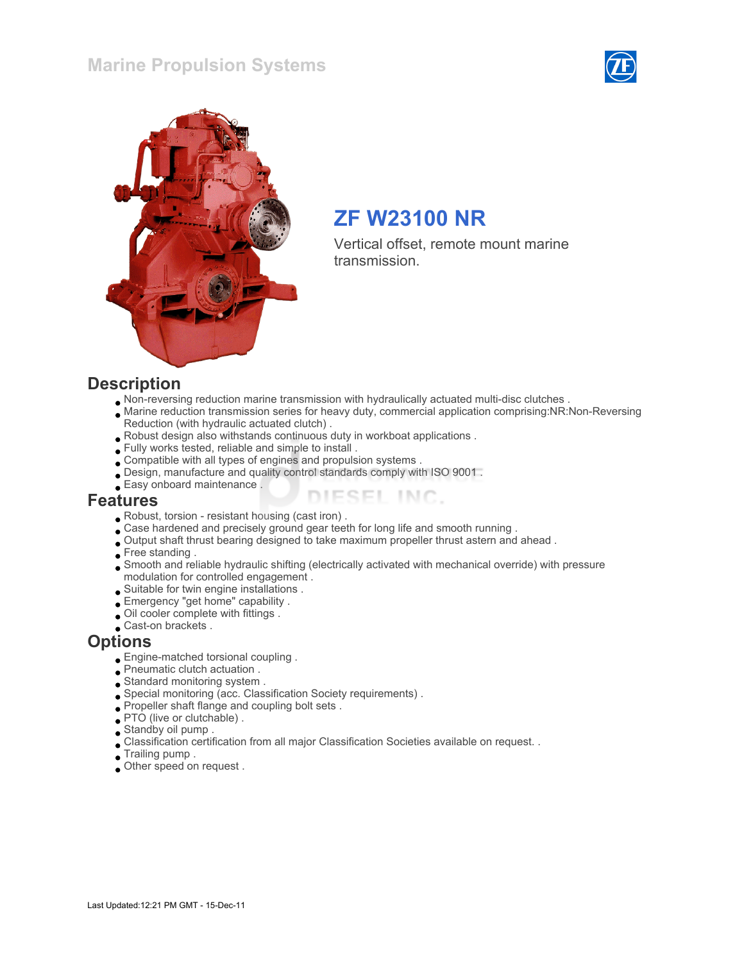### Marine Propulsion Systems





# ZF W23100 NR

Vertical offset, remote mount marine transmission.

#### **Description**

- Non-reversing reduction marine transmission with hydraulically actuated multi-disc clutches .
- Marine reduction transmission series for heavy duty, commercial application comprising:NR:Non-Reversing Reduction (with hydraulic actuated clutch) .

ESEL INC.

- Robust design also withstands continuous duty in workboat applications .
- Fully works tested, reliable and simple to install .
- Compatible with all types of engines and propulsion systems .
- Design, manufacture and quality control standards comply with ISO 9001 .
- Easy onboard maintenance .

#### Features

- Robust, torsion resistant housing (cast iron) .
- Case hardened and precisely ground gear teeth for long life and smooth running .
- Output shaft thrust bearing designed to take maximum propeller thrust astern and ahead .
- Free standing .
- Smooth and reliable hydraulic shifting (electrically activated with mechanical override) with pressure modulation for controlled engagement .
- Suitable for twin engine installations .
- Emergency "get home" capability .
- Oil cooler complete with fittings .
- Cast-on brackets .

#### **Options**

- Engine-matched torsional coupling .
- Pneumatic clutch actuation .
- Standard monitoring system .
- Special monitoring (acc. Classification Society requirements) .
- Propeller shaft flange and coupling bolt sets .
- PTO (live or clutchable).
- Standby oil pump .
- Classification certification from all major Classification Societies available on request. .
- Trailing pump .
- Other speed on request .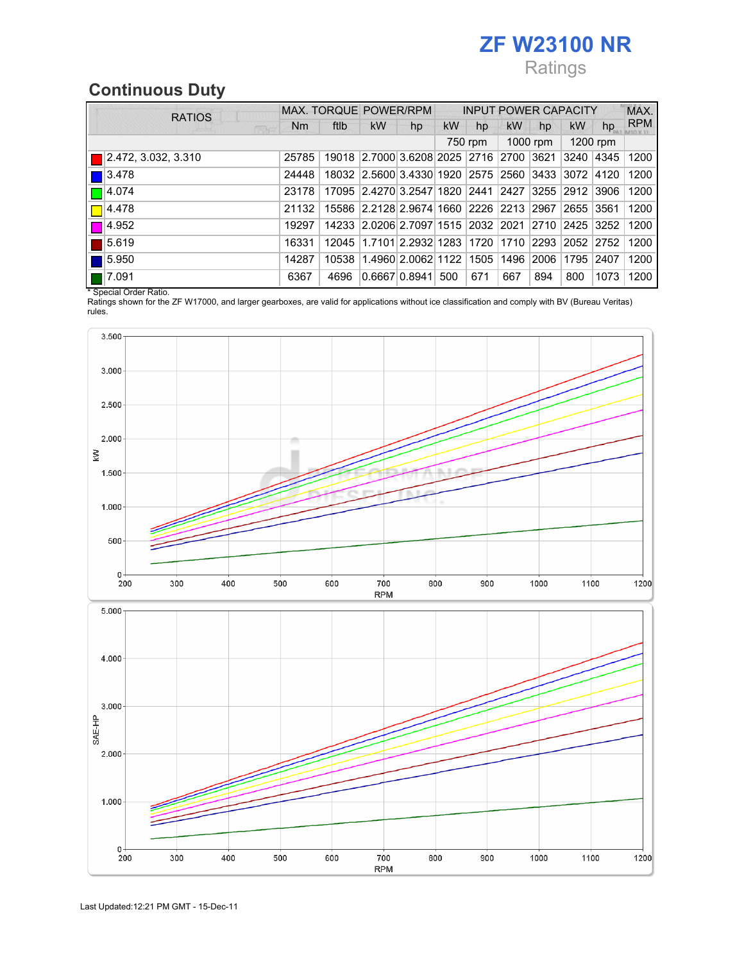# ZF W23100 NR

# Ratings

# Continuous Duty

|  | <b>RATIOS</b>        |       | MAX. TORQUE POWER/RPM |                                                   |    |     |         |           | <b>INPUT POWER CAPACITY</b> |           |          | MAX.       |
|--|----------------------|-------|-----------------------|---------------------------------------------------|----|-----|---------|-----------|-----------------------------|-----------|----------|------------|
|  | 麻木                   | Nm    | ftlb                  | kW                                                | hp | kW  | hp      | <b>kW</b> | hp                          | <b>kW</b> | hp       | <b>RPM</b> |
|  |                      |       |                       |                                                   |    |     | 750 rpm |           | $1000$ rpm                  |           | 1200 rpm |            |
|  | 2.472, 3.032, 3.310  | 25785 |                       | 19018 2.7000 3.6208 2025 2716 2700 3621 3240      |    |     |         |           |                             |           | 4345     | 1200       |
|  | 3.478                | 24448 |                       | 18032 2.5600 3.4330 1920 2575 2560 3433 3072      |    |     |         |           |                             |           | 4120     | 1200       |
|  | 14.074               | 23178 |                       | 17095 2.4270 3.2547 1820 2441 2427 3255 2912      |    |     |         |           |                             |           | 13906    | 1200       |
|  | 4.478                | 21132 |                       | 15586 2.2128 2.9674 1660 2226 2213 2967 2655      |    |     |         |           |                             |           | 3561     | 1200       |
|  | 14.952               | 19297 |                       | 14233 2.0206 2.7097 1515 2032 2021 2710 2425 3252 |    |     |         |           |                             |           |          | 1200       |
|  | 5.619                | 16331 | 12045                 | 11.7101 2.2932 1283 1720 1710 2293 2052           |    |     |         |           |                             |           | 2752     | 1200       |
|  | 5.950                | 14287 | 10538                 | 1.4960 2.0062 1122 1505 1496 2006                 |    |     |         |           |                             | 1795      | 2407     | 1200       |
|  | $\blacksquare$ 7.091 | 6367  | 4696                  | 0.6667 0.8941                                     |    | 500 | 671     | 667       | 894                         | 800       | 1073     | 1200       |

\* Special Order Ratio.

Ratings shown for the ZF W17000, and larger gearboxes, are valid for applications without ice classification and comply with BV (Bureau Veritas) rules.

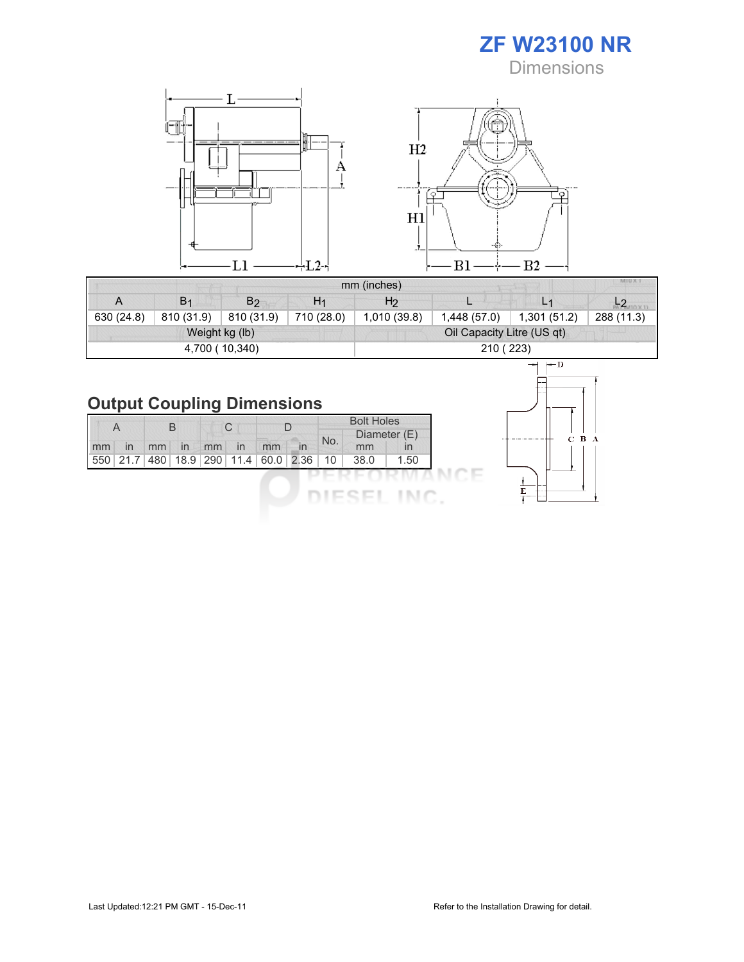ZF W23100 NR **Dimensions** 



|            |                |                |                | mm (inches)                | <b>MIUXT</b> |                |            |  |  |  |
|------------|----------------|----------------|----------------|----------------------------|--------------|----------------|------------|--|--|--|
| A          | B <sub>1</sub> | B <sub>2</sub> | H <sub>1</sub> | H <sub>2</sub>             |              | L <sub>1</sub> |            |  |  |  |
| 630 (24.8) | 810 (31.9)     | 810 (31.9)     | 710 (28.0)     | 1,010 (39.8)               | 1,448(57.0)  | 1,301(51.2)    | 288 (11.3) |  |  |  |
|            |                | Weight kg (lb) |                | Oil Capacity Litre (US qt) |              |                |            |  |  |  |
|            |                | 4,700 (10,340) |                | 210 (223)                  |              |                |            |  |  |  |

# Output Coupling Dimensions

| A  |          | В   |    | C  |    |                         |              |     | <b>Bolt Holes</b><br>Diameter (E) |              |
|----|----------|-----|----|----|----|-------------------------|--------------|-----|-----------------------------------|--------------|
| mm | In       | mm  | In | mm | In | mm                      | $\mathsf{I}$ | No. | mm                                | $\mathsf{I}$ |
|    | 550 21.7 | 480 |    |    |    | 18.9 290 11.4 60.0 2.36 |              | 10  | 38.0                              | 1.50         |
|    |          |     |    |    |    |                         |              |     |                                   |              |
|    |          |     |    |    |    |                         |              |     |                                   |              |

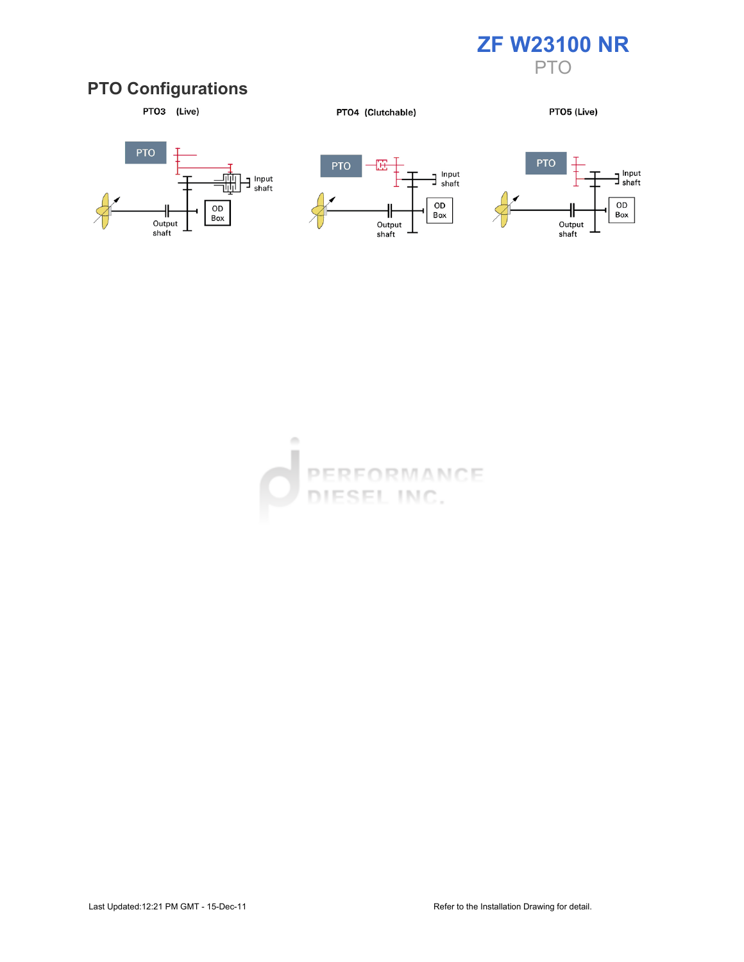

# PTO Configurations



PTO4 (Clutchable)

PTO5 (Live)